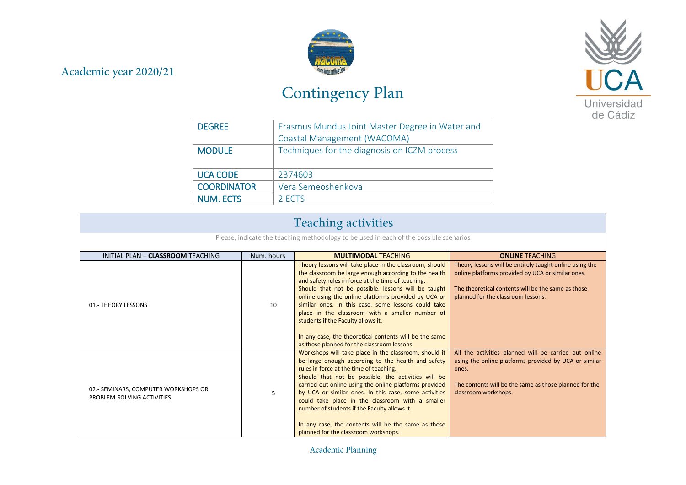## Academic year 2020/21



## Contingency Plan



| <b>DEGREE</b>      | Erasmus Mundus Joint Master Degree in Water and |  |
|--------------------|-------------------------------------------------|--|
|                    | Coastal Management (WACOMA)                     |  |
| <b>MODULE</b>      | Techniques for the diagnosis on ICZM process    |  |
|                    |                                                 |  |
| <b>UCA CODE</b>    | 2374603                                         |  |
| <b>COORDINATOR</b> | Vera Semeoshenkova                              |  |
| <b>NUM. ECTS</b>   | 2 ECTS                                          |  |

| <b>Teaching activities</b>                                                             |            |                                                                                                                                                                                                                                                                                                                                                                                                                                                                                                                                                |                                                                                                                                                                                                           |
|----------------------------------------------------------------------------------------|------------|------------------------------------------------------------------------------------------------------------------------------------------------------------------------------------------------------------------------------------------------------------------------------------------------------------------------------------------------------------------------------------------------------------------------------------------------------------------------------------------------------------------------------------------------|-----------------------------------------------------------------------------------------------------------------------------------------------------------------------------------------------------------|
| Please, indicate the teaching methodology to be used in each of the possible scenarios |            |                                                                                                                                                                                                                                                                                                                                                                                                                                                                                                                                                |                                                                                                                                                                                                           |
| INITIAL PLAN - CLASSROOM TEACHING                                                      | Num, hours | <b>MULTIMODAL TEACHING</b>                                                                                                                                                                                                                                                                                                                                                                                                                                                                                                                     | <b>ONLINE TEACHING</b>                                                                                                                                                                                    |
| 01.- THEORY LESSONS                                                                    | 10         | Theory lessons will take place in the classroom, should<br>the classroom be large enough according to the health<br>and safety rules in force at the time of teaching.<br>Should that not be possible, lessons will be taught<br>online using the online platforms provided by UCA or<br>similar ones. In this case, some lessons could take<br>place in the classroom with a smaller number of<br>students if the Faculty allows it.<br>In any case, the theoretical contents will be the same<br>as those planned for the classroom lessons. | Theory lessons will be entirely taught online using the<br>online platforms provided by UCA or similar ones.<br>The theoretical contents will be the same as those<br>planned for the classroom lessons.  |
| 02.- SEMINARS, COMPUTER WORKSHOPS OR<br>PROBLEM-SOLVING ACTIVITIES                     | 5          | Workshops will take place in the classroom, should it<br>be large enough according to the health and safety<br>rules in force at the time of teaching.<br>Should that not be possible, the activities will be<br>carried out online using the online platforms provided<br>by UCA or similar ones. In this case, some activities<br>could take place in the classroom with a smaller<br>number of students if the Faculty allows it.<br>In any case, the contents will be the same as those<br>planned for the classroom workshops.            | All the activities planned will be carried out online<br>using the online platforms provided by UCA or similar<br>ones.<br>The contents will be the same as those planned for the<br>classroom workshops. |

Academic Planning